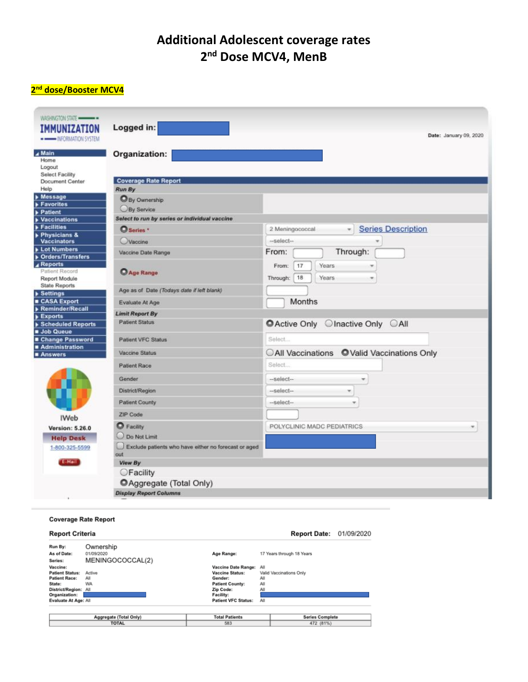# **Additional Adolescent coverage rates** 2<sup>nd</sup> Dose MCV4, MenB

## 2<sup>nd</sup> dose/Booster MCV4

| <b>IMMUNIZATION</b><br>-- DEORMATION SYSTEM                             | Logged in:                                                  | Date: January 09, 2020                          |
|-------------------------------------------------------------------------|-------------------------------------------------------------|-------------------------------------------------|
| A Main<br>Home<br>Logout                                                | Organization:                                               |                                                 |
| Select Facility<br><b>Document Center</b>                               | <b>Coverage Rate Report</b>                                 |                                                 |
| Help                                                                    | Run By                                                      |                                                 |
| Message<br>Favorites                                                    | O By Ownership                                              |                                                 |
| <b>&gt; Patient</b>                                                     | By Service                                                  |                                                 |
| <b>Vaccinations</b><br>Facilities                                       | Select to run by series or individual vaccine               |                                                 |
| Physicians &                                                            | O Series *                                                  | <b>Series Description</b><br>2 Meningococcal    |
| <b>Vaccinators</b>                                                      | Vaccine                                                     | -select-                                        |
| Lot Numbers                                                             | Vaccine Date Range                                          | Through:<br>From:                               |
| <b>Orders/Transfers</b><br>A Reports<br>Patient Record<br>Report Module | <b>C</b> Age Range                                          | Years<br>From:<br>17<br>18<br>Years<br>Through: |
| <b>State Reports</b>                                                    | Age as of Date (Todays date if left blank)                  |                                                 |
| Settings<br>CASA Export                                                 | Evaluate At Age                                             | Months                                          |
| Reminder/Recall                                                         |                                                             |                                                 |
| <b>Exports</b>                                                          | <b>Limit Report By</b>                                      |                                                 |
| Scheduled Reports                                                       | <b>Patient Status</b>                                       | ● Active Only © Inactive Only © All             |
| Job Queue<br>Change Password                                            | <b>Patient VFC Status</b>                                   | Select                                          |
| Administration<br>Answers                                               | <b>Vaccine Status</b>                                       | CAII Vaccinations OValid Vaccinations Only      |
|                                                                         | <b>Patient Race</b>                                         | Select                                          |
|                                                                         | Gender                                                      | -select-                                        |
|                                                                         | District/Region                                             | -select-<br>¥                                   |
|                                                                         | <b>Patient County</b>                                       | -select-<br>÷                                   |
| <b>IWeb</b>                                                             | ZIP Code                                                    |                                                 |
| <b>Version: 5.26.0</b><br><b>Help Desk</b>                              | <b>O</b> Facility<br>Do Not Limit                           | POLYCLINIC MADC PEDIATRICS                      |
| 1-800-325-5599                                                          | Exclude patients who have either no forecast or aged<br>out |                                                 |
| E-Mail                                                                  | View By                                                     |                                                 |
|                                                                         | <b>CFacility</b>                                            |                                                 |
|                                                                         | CAggregate (Total Only)                                     |                                                 |
|                                                                         | <b>Display Report Columns</b>                               |                                                 |

#### **Coverage Rate Report**

| <b>Report Criteria</b> |                  |                            | <b>Report Date: 01/09/2020</b> |  |
|------------------------|------------------|----------------------------|--------------------------------|--|
| Run By:                | Ownership        |                            |                                |  |
| As of Date:            | 01/09/2020       | Age Range:                 | 17 Years through 18 Years      |  |
| Series:                | MENINGOCOCCAL(2) |                            |                                |  |
| Vaccine:               |                  | Vaccine Date Range:        | All                            |  |
| <b>Patient Status:</b> | Active           | <b>Vaccine Status:</b>     | Valid Vaccinations Only        |  |
| <b>Patient Race:</b>   | All              | Gender:                    | All                            |  |
| State:                 | WA               | <b>Patient County:</b>     | All                            |  |
| District/Region: All   |                  | Zip Code:                  | All                            |  |
| Organization:          |                  | <b>Facility:</b>           |                                |  |
| Evaluate At Age: All   |                  | <b>Patient VFC Status:</b> | All                            |  |
|                        |                  |                            |                                |  |
| Aggregate (Total Only) |                  | <b>Total Patients</b>      | <b>Series Complete</b>         |  |
| <b>TOTAL</b>           |                  | 583                        | 472 (81%)                      |  |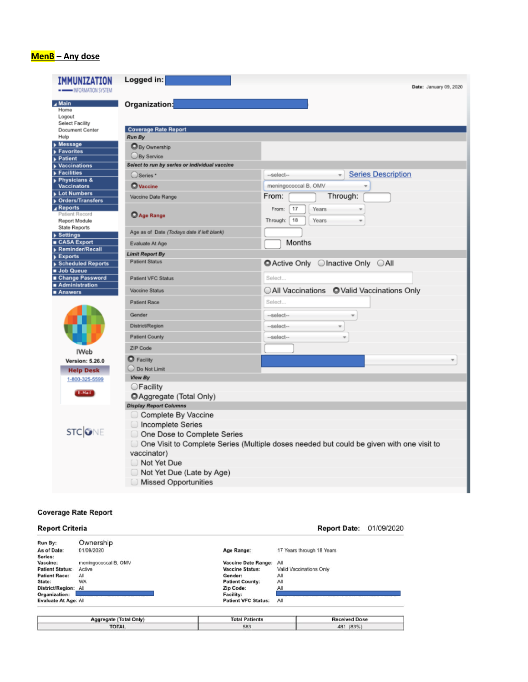## MenB - Any dose

| IMMUNIZATION<br>INFORMATION SYSTEM               | Logged in:                                                                                 | Date: January 09, 2020                    |  |
|--------------------------------------------------|--------------------------------------------------------------------------------------------|-------------------------------------------|--|
| ⊿ Main<br>Home<br>Logout                         | Organization:                                                                              |                                           |  |
| Select Facility<br>Document Center               | <b>Coverage Rate Report</b>                                                                |                                           |  |
| Help<br>Message                                  | Run By                                                                                     |                                           |  |
| Favorites                                        | <b>O</b> By Ownership                                                                      |                                           |  |
| <b>Patient</b>                                   | By Service                                                                                 |                                           |  |
| <b>Vaccinations</b>                              | Select to run by series or individual vaccine                                              |                                           |  |
| $\blacktriangleright$ Facilities<br>Physicians & | O Series *                                                                                 | <b>Series Description</b><br>--select-    |  |
| <b>Vaccinators</b>                               | <b>O</b> Vaccine                                                                           | meningococcal B, OMV<br>v                 |  |
| Lot Numbers                                      | Vaccine Date Range                                                                         | From:<br>Through:                         |  |
| <b>Orders/Transfers</b><br>Reports               |                                                                                            | 17<br>Years<br>From:                      |  |
| Patient Record                                   | Age Range                                                                                  |                                           |  |
| Report Module                                    |                                                                                            | 18<br>Years<br>Through:                   |  |
| <b>State Reports</b><br>▶ Settings               | Age as of Date (Todays date if left blank)                                                 |                                           |  |
| ■ CASA Export                                    | Evaluate At Age                                                                            | <b>Months</b>                             |  |
| Reminder/Recall                                  | <b>Limit Report By</b>                                                                     |                                           |  |
| Exports                                          | <b>Patient Status</b>                                                                      |                                           |  |
| Scheduled Reports<br>Job Queue                   |                                                                                            | ■ Active Only © Inactive Only © All       |  |
| ■ Change Password                                | <b>Patient VFC Status</b>                                                                  | Select                                    |  |
| Administration                                   | Vaccine Status                                                                             | All Vaccinations OValid Vaccinations Only |  |
| ■ Answers                                        |                                                                                            |                                           |  |
|                                                  | <b>Patient Race</b>                                                                        | Select                                    |  |
|                                                  | Gender                                                                                     | $-select-$<br>$\overline{\phantom{a}}$    |  |
|                                                  | District/Region                                                                            | -select-<br>÷                             |  |
|                                                  | <b>Patient County</b>                                                                      |                                           |  |
|                                                  |                                                                                            | -select-                                  |  |
| <b>IWeb</b>                                      | ZIP Code                                                                                   |                                           |  |
| <b>Version: 5.26.0</b>                           | $\bullet$ Facility                                                                         |                                           |  |
| <b>Help Desk</b>                                 | O Do Not Limit                                                                             |                                           |  |
| 1-800-325-5599                                   | View By                                                                                    |                                           |  |
|                                                  | ○Facility                                                                                  |                                           |  |
| E-Mail                                           | <b>O</b> Aggregate (Total Only)                                                            |                                           |  |
|                                                  | <b>Display Report Columns</b>                                                              |                                           |  |
|                                                  | Complete By Vaccine                                                                        |                                           |  |
|                                                  | Incomplete Series                                                                          |                                           |  |
| <b>STCONE</b>                                    | One Dose to Complete Series                                                                |                                           |  |
|                                                  | ◯ One Visit to Complete Series (Multiple doses needed but could be given with one visit to |                                           |  |
|                                                  | vaccinator)                                                                                |                                           |  |
|                                                  | Not Yet Due                                                                                |                                           |  |
|                                                  | Not Yet Due (Late by Age)                                                                  |                                           |  |
|                                                  |                                                                                            |                                           |  |
|                                                  | <b>Missed Opportunities</b>                                                                |                                           |  |

#### **Coverage Rate Report**

| <b>Report Criteria</b>      |                      |                            | <b>Report Date:</b>       | 01/09/2020 |  |
|-----------------------------|----------------------|----------------------------|---------------------------|------------|--|
| Run By:                     | Ownership            |                            |                           |            |  |
| As of Date:                 | 01/09/2020           | Age Range:                 | 17 Years through 18 Years |            |  |
| Series:                     |                      |                            |                           |            |  |
| Vaccine:                    | meningococcal B, OMV | <b>Vaccine Date Range:</b> | All                       |            |  |
| <b>Patient Status:</b>      | Active               | <b>Vaccine Status:</b>     | Valid Vaccinations Only   |            |  |
| <b>Patient Race:</b>        | All                  | Gender:                    | All                       |            |  |
| State:                      | <b>WA</b>            | <b>Patient County:</b>     | All                       |            |  |
| District/Region: All        |                      | Zip Code:                  | All                       |            |  |
| Organization:               |                      | Facility:                  |                           |            |  |
| <b>Evaluate At Age: All</b> |                      | <b>Patient VFC Status:</b> | All                       |            |  |
|                             |                      |                            |                           |            |  |
| Aggregate (Total Only)      |                      | <b>Total Patients</b>      | <b>Received Dose</b>      |            |  |
| <b>TOTAL</b>                |                      | 583                        | 481 (83%)                 |            |  |